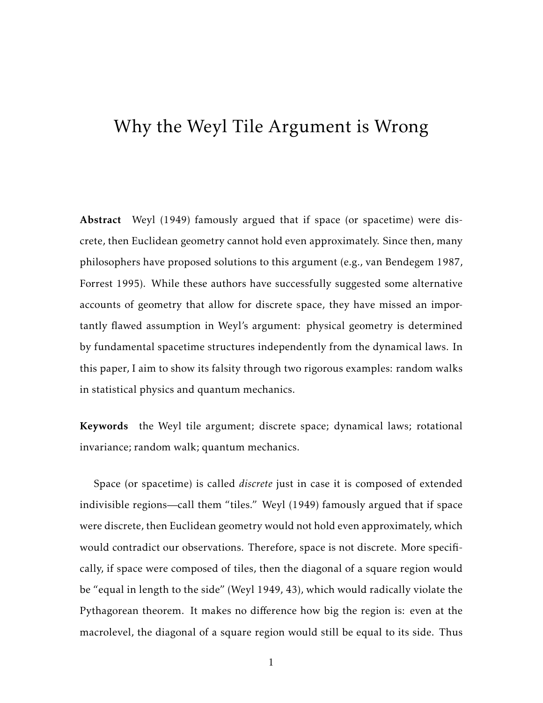# Why the Weyl Tile Argument is Wrong

Abstract Weyl (1949) famously argued that if space (or spacetime) were discrete, then Euclidean geometry cannot hold even approximately. Since then, many philosophers have proposed solutions to this argument (e.g., van Bendegem 1987, Forrest 1995). While these authors have successfully suggested some alternative accounts of geometry that allow for discrete space, they have missed an importantly flawed assumption in Weyl's argument: physical geometry is determined by fundamental spacetime structures independently from the dynamical laws. In this paper, I aim to show its falsity through two rigorous examples: random walks in statistical physics and quantum mechanics.

Keywords the Weyl tile argument; discrete space; dynamical laws; rotational invariance; random walk; quantum mechanics.

Space (or spacetime) is called *discrete* just in case it is composed of extended indivisible regions—call them "tiles." Weyl (1949) famously argued that if space were discrete, then Euclidean geometry would not hold even approximately, which would contradict our observations. Therefore, space is not discrete. More specifically, if space were composed of tiles, then the diagonal of a square region would be "equal in length to the side" (Weyl 1949, 43), which would radically violate the Pythagorean theorem. It makes no difference how big the region is: even at the macrolevel, the diagonal of a square region would still be equal to its side. Thus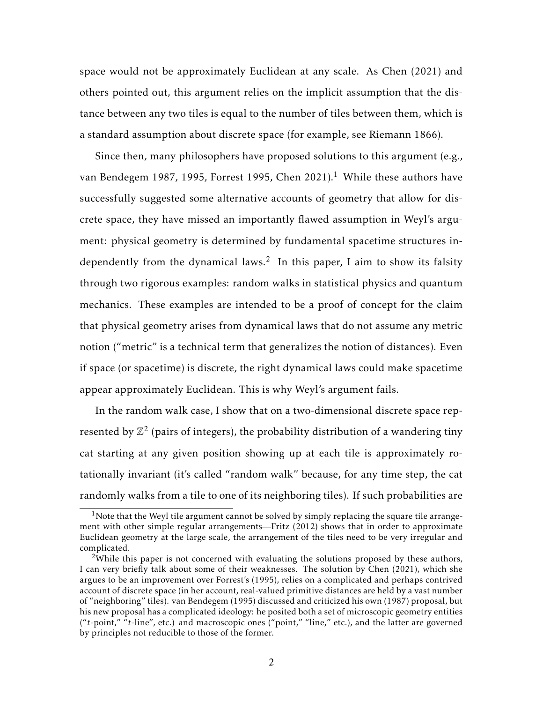space would not be approximately Euclidean at any scale. As Chen (2021) and others pointed out, this argument relies on the implicit assumption that the distance between any two tiles is equal to the number of tiles between them, which is a standard assumption about discrete space (for example, see Riemann 1866).

Since then, many philosophers have proposed solutions to this argument (e.g., van Bendegem 1987, 1995, Forrest 1995, Chen 2021).<sup>1</sup> While these authors have successfully suggested some alternative accounts of geometry that allow for discrete space, they have missed an importantly flawed assumption in Weyl's argument: physical geometry is determined by fundamental spacetime structures independently from the dynamical laws.<sup>2</sup> In this paper, I aim to show its falsity through two rigorous examples: random walks in statistical physics and quantum mechanics. These examples are intended to be a proof of concept for the claim that physical geometry arises from dynamical laws that do not assume any metric notion ("metric" is a technical term that generalizes the notion of distances). Even if space (or spacetime) is discrete, the right dynamical laws could make spacetime appear approximately Euclidean. This is why Weyl's argument fails.

In the random walk case, I show that on a two-dimensional discrete space represented by  $\mathbb{Z}^2$  (pairs of integers), the probability distribution of a wandering tiny cat starting at any given position showing up at each tile is approximately rotationally invariant (it's called "random walk" because, for any time step, the cat randomly walks from a tile to one of its neighboring tiles). If such probabilities are

 $1$ Note that the Weyl tile argument cannot be solved by simply replacing the square tile arrangement with other simple regular arrangements—Fritz (2012) shows that in order to approximate Euclidean geometry at the large scale, the arrangement of the tiles need to be very irregular and complicated.

<sup>&</sup>lt;sup>2</sup>While this paper is not concerned with evaluating the solutions proposed by these authors, I can very briefly talk about some of their weaknesses. The solution by Chen (2021), which she argues to be an improvement over Forrest's (1995), relies on a complicated and perhaps contrived account of discrete space (in her account, real-valued primitive distances are held by a vast number of "neighboring" tiles). van Bendegem (1995) discussed and criticized his own (1987) proposal, but his new proposal has a complicated ideology: he posited both a set of microscopic geometry entities ("*t*-point," "*t*-line", etc.) and macroscopic ones ("point," "line," etc.), and the latter are governed by principles not reducible to those of the former.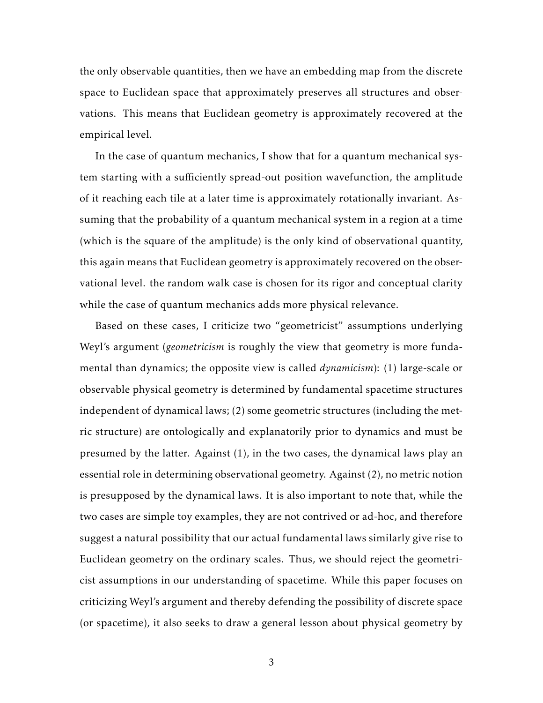the only observable quantities, then we have an embedding map from the discrete space to Euclidean space that approximately preserves all structures and observations. This means that Euclidean geometry is approximately recovered at the empirical level.

In the case of quantum mechanics, I show that for a quantum mechanical system starting with a sufficiently spread-out position wavefunction, the amplitude of it reaching each tile at a later time is approximately rotationally invariant. Assuming that the probability of a quantum mechanical system in a region at a time (which is the square of the amplitude) is the only kind of observational quantity, this again means that Euclidean geometry is approximately recovered on the observational level. the random walk case is chosen for its rigor and conceptual clarity while the case of quantum mechanics adds more physical relevance.

Based on these cases, I criticize two "geometricist" assumptions underlying Weyl's argument (*geometricism* is roughly the view that geometry is more fundamental than dynamics; the opposite view is called *dynamicism*): (1) large-scale or observable physical geometry is determined by fundamental spacetime structures independent of dynamical laws; (2) some geometric structures (including the metric structure) are ontologically and explanatorily prior to dynamics and must be presumed by the latter. Against (1), in the two cases, the dynamical laws play an essential role in determining observational geometry. Against (2), no metric notion is presupposed by the dynamical laws. It is also important to note that, while the two cases are simple toy examples, they are not contrived or ad-hoc, and therefore suggest a natural possibility that our actual fundamental laws similarly give rise to Euclidean geometry on the ordinary scales. Thus, we should reject the geometricist assumptions in our understanding of spacetime. While this paper focuses on criticizing Weyl's argument and thereby defending the possibility of discrete space (or spacetime), it also seeks to draw a general lesson about physical geometry by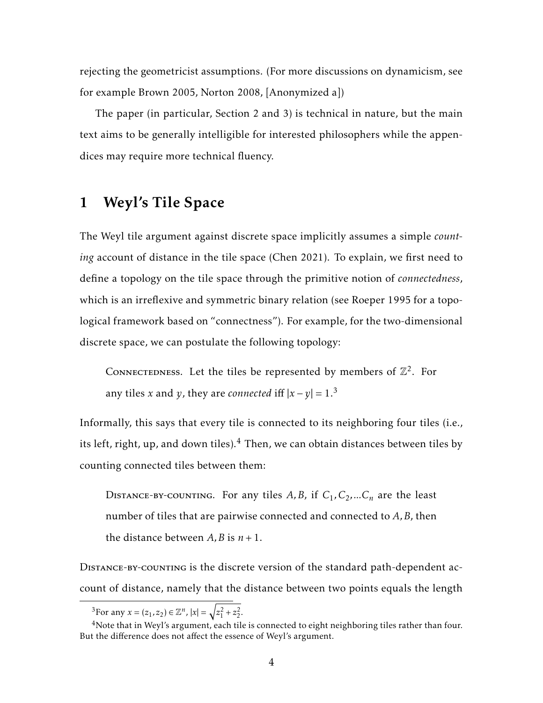rejecting the geometricist assumptions. (For more discussions on dynamicism, see for example Brown 2005, Norton 2008, [Anonymized a])

The paper (in particular, Section 2 and 3) is technical in nature, but the main text aims to be generally intelligible for interested philosophers while the appendices may require more technical fluency.

# 1 Weyl's Tile Space

The Weyl tile argument against discrete space implicitly assumes a simple *counting* account of distance in the tile space (Chen 2021). To explain, we first need to define a topology on the tile space through the primitive notion of *connectedness*, which is an irreflexive and symmetric binary relation (see Roeper 1995 for a topological framework based on "connectness"). For example, for the two-dimensional discrete space, we can postulate the following topology:

CONNECTEDNESS. Let the tiles be represented by members of  $\mathbb{Z}^2$ . For any tiles *x* and *y*, they are *connected* iff  $|x - y| = 1^3$ 

Informally, this says that every tile is connected to its neighboring four tiles (i.e., its left, right, up, and down tiles). $4$  Then, we can obtain distances between tiles by counting connected tiles between them:

DISTANCE-BY-COUNTING. For any tiles  $A, B$ , if  $C_1, C_2, ... C_n$  are the least number of tiles that are pairwise connected and connected to *A,B*, then the distance between  $A$ ,  $B$  is  $n + 1$ .

Distance-by-counting is the discrete version of the standard path-dependent account of distance, namely that the distance between two points equals the length

<sup>&</sup>lt;sup>3</sup>For any  $x = (z_1, z_2) \in \mathbb{Z}^n$ ,  $|x| = \sqrt{z_1^2 + z_2^2}$ .

<sup>&</sup>lt;sup>4</sup>Note that in Weyl's argument, each tile is connected to eight neighboring tiles rather than four. But the difference does not affect the essence of Weyl's argument.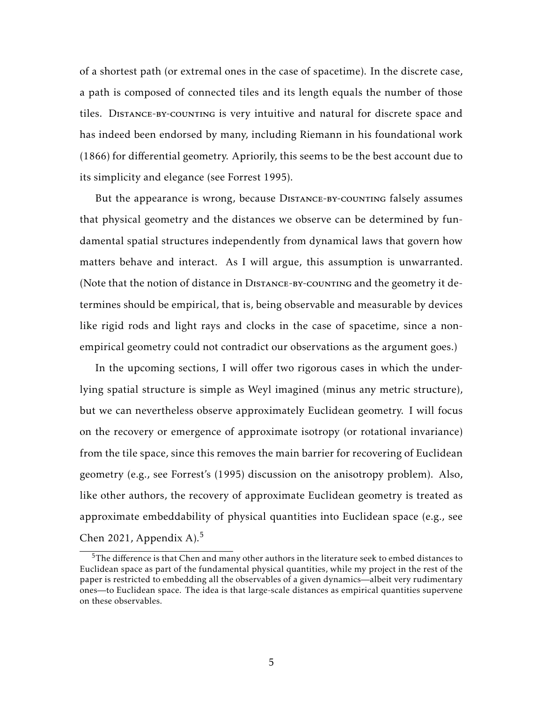of a shortest path (or extremal ones in the case of spacetime). In the discrete case, a path is composed of connected tiles and its length equals the number of those tiles. Distance-by-counting is very intuitive and natural for discrete space and has indeed been endorsed by many, including Riemann in his foundational work (1866) for differential geometry. Apriorily, this seems to be the best account due to its simplicity and elegance (see Forrest 1995).

But the appearance is wrong, because DISTANCE-BY-COUNTING falsely assumes that physical geometry and the distances we observe can be determined by fundamental spatial structures independently from dynamical laws that govern how matters behave and interact. As I will argue, this assumption is unwarranted. (Note that the notion of distance in Distance-by-counting and the geometry it determines should be empirical, that is, being observable and measurable by devices like rigid rods and light rays and clocks in the case of spacetime, since a nonempirical geometry could not contradict our observations as the argument goes.)

In the upcoming sections, I will offer two rigorous cases in which the underlying spatial structure is simple as Weyl imagined (minus any metric structure), but we can nevertheless observe approximately Euclidean geometry. I will focus on the recovery or emergence of approximate isotropy (or rotational invariance) from the tile space, since this removes the main barrier for recovering of Euclidean geometry (e.g., see Forrest's (1995) discussion on the anisotropy problem). Also, like other authors, the recovery of approximate Euclidean geometry is treated as approximate embeddability of physical quantities into Euclidean space (e.g., see Chen 2021, Appendix A $^{5}$ 

<sup>5</sup>The difference is that Chen and many other authors in the literature seek to embed distances to Euclidean space as part of the fundamental physical quantities, while my project in the rest of the paper is restricted to embedding all the observables of a given dynamics—albeit very rudimentary ones—to Euclidean space. The idea is that large-scale distances as empirical quantities supervene on these observables.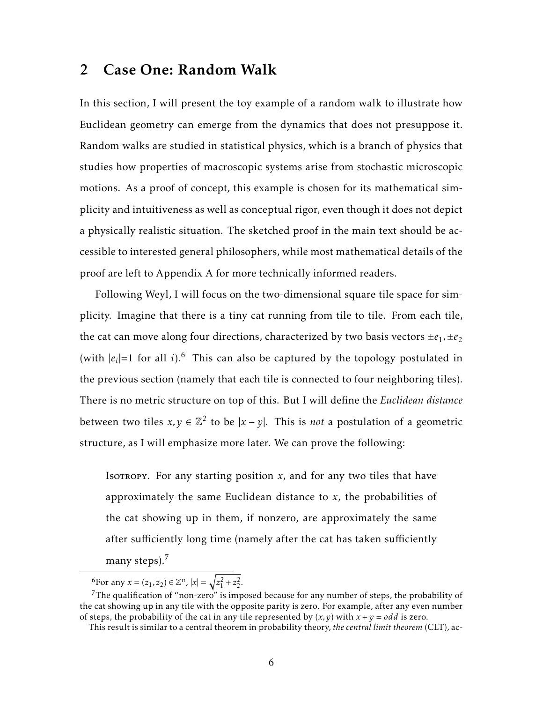## 2 Case One: Random Walk

In this section, I will present the toy example of a random walk to illustrate how Euclidean geometry can emerge from the dynamics that does not presuppose it. Random walks are studied in statistical physics, which is a branch of physics that studies how properties of macroscopic systems arise from stochastic microscopic motions. As a proof of concept, this example is chosen for its mathematical simplicity and intuitiveness as well as conceptual rigor, even though it does not depict a physically realistic situation. The sketched proof in the main text should be accessible to interested general philosophers, while most mathematical details of the proof are left to Appendix A for more technically informed readers.

Following Weyl, I will focus on the two-dimensional square tile space for simplicity. Imagine that there is a tiny cat running from tile to tile. From each tile, the cat can move along four directions, characterized by two basis vectors  $\pm e_1$ ,  $\pm e_2$ (with  $|e_i|=1$  for all *i*).<sup>6</sup> This can also be captured by the topology postulated in the previous section (namely that each tile is connected to four neighboring tiles). There is no metric structure on top of this. But I will define the *Euclidean distance* between two tiles  $x, y \in \mathbb{Z}^2$  to be  $|x - y|$ . This is *not* a postulation of a geometric structure, as I will emphasize more later. We can prove the following:

Isotropy. For any starting position  $x$ , and for any two tiles that have approximately the same Euclidean distance to *x*, the probabilities of the cat showing up in them, if nonzero, are approximately the same after sufficiently long time (namely after the cat has taken sufficiently

many steps).<sup>7</sup>

<sup>6</sup>For any  $x = (z_1, z_2) \in \mathbb{Z}^n$ ,  $|x| = \sqrt{z_1^2 + z_2^2}$ .

<sup>&</sup>lt;sup>7</sup>The qualification of "non-zero" is imposed because for any number of steps, the probability of the cat showing up in any tile with the opposite parity is zero. For example, after any even number of steps, the probability of the cat in any tile represented by  $(x, y)$  with  $x + y = \text{odd}$  is zero.

This result is similar to a central theorem in probability theory, *the central limit theorem* (CLT), ac-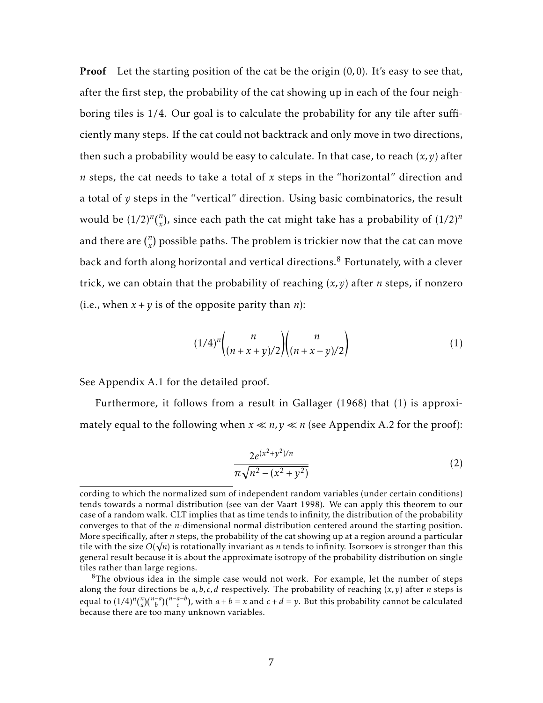Proof Let the starting position of the cat be the origin (0*,*0). It's easy to see that, after the first step, the probability of the cat showing up in each of the four neighboring tiles is 1/4. Our goal is to calculate the probability for any tile after sufficiently many steps. If the cat could not backtrack and only move in two directions, then such a probability would be easy to calculate. In that case, to reach  $(x, y)$  after *n* steps, the cat needs to take a total of *x* steps in the "horizontal" direction and a total of *y* steps in the "vertical" direction. Using basic combinatorics, the result would be  $(1/2)^n {n \choose x}$ , since each path the cat might take has a probability of  $(1/2)^n$ and there are  $\binom{n}{x}$  possible paths. The problem is trickier now that the cat can move back and forth along horizontal and vertical directions. $8$  Fortunately, with a clever trick, we can obtain that the probability of reaching (*x,y*) after *n* steps, if nonzero (i.e., when  $x + y$  is of the opposite parity than *n*):

$$
(1/4)^n \binom{n}{(n+x+y)/2} \binom{n}{(n+x-y)/2} \tag{1}
$$

See Appendix A.1 for the detailed proof.

Furthermore, it follows from a result in Gallager (1968) that (1) is approximately equal to the following when  $x \ll n$ ,  $y \ll n$  (see Appendix A.2 for the proof):

$$
\frac{2e^{(x^2+y^2)/n}}{\pi\sqrt{n^2-(x^2+y^2)}}
$$
 (2)

cording to which the normalized sum of independent random variables (under certain conditions) tends towards a normal distribution (see van der Vaart 1998). We can apply this theorem to our case of a random walk. CLT implies that as time tends to infinity, the distribution of the probability converges to that of the *n*-dimensional normal distribution centered around the starting position. More specifically, after *n* steps, the probability of the cat showing up at a region around a particular tile with the size  $O(\sqrt{n})$  is rotationally invariant as *n* tends to infinity. Isorropy is stronger than this general result because it is about the approximate isotropy of the probability distribution on single tiles rather than large regions.

<sup>&</sup>lt;sup>8</sup>The obvious idea in the simple case would not work. For example, let the number of steps along the four directions be *a,b, c, d* respectively. The probability of reaching (*x,y*) after *n* steps is equal to  $(1/4)^n {n \choose a} {n-a-b \choose b}$ , with  $a+b=x$  and  $c+d=y$ . But this probability cannot be calculated because there are too many unknown variables.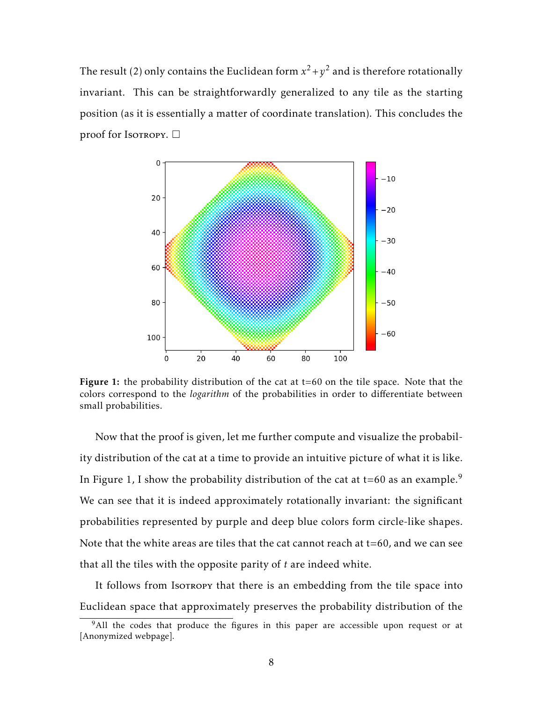The result (2) only contains the Euclidean form  $x^2 + y^2$  and is therefore rotationally invariant. This can be straightforwardly generalized to any tile as the starting position (as it is essentially a matter of coordinate translation). This concludes the proof for Isotropy.  $\square$ 



Figure 1: the probability distribution of the cat at  $t=60$  on the tile space. Note that the colors correspond to the *logarithm* of the probabilities in order to differentiate between small probabilities.

Now that the proof is given, let me further compute and visualize the probability distribution of the cat at a time to provide an intuitive picture of what it is like. In Figure 1, I show the probability distribution of the cat at  $t=60$  as an example.<sup>9</sup> We can see that it is indeed approximately rotationally invariant: the significant probabilities represented by purple and deep blue colors form circle-like shapes. Note that the white areas are tiles that the cat cannot reach at  $t=60$ , and we can see that all the tiles with the opposite parity of *t* are indeed white.

It follows from Isotropy that there is an embedding from the tile space into Euclidean space that approximately preserves the probability distribution of the

<sup>&</sup>lt;sup>9</sup>All the codes that produce the figures in this paper are accessible upon request or at [Anonymized webpage].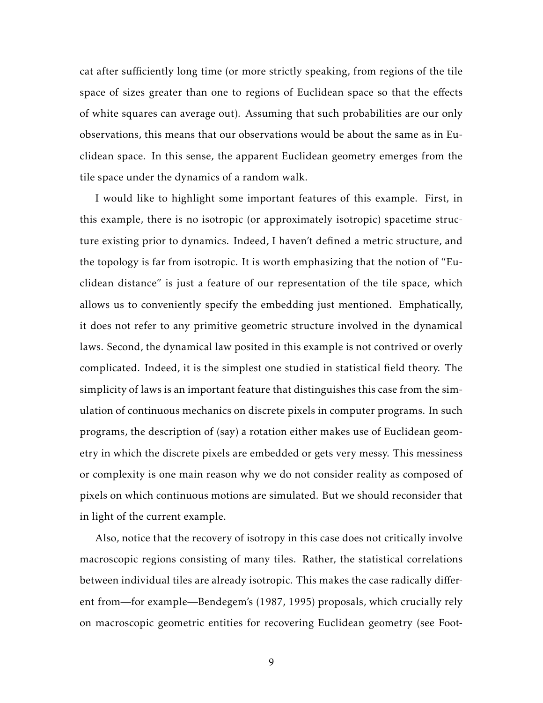cat after sufficiently long time (or more strictly speaking, from regions of the tile space of sizes greater than one to regions of Euclidean space so that the effects of white squares can average out). Assuming that such probabilities are our only observations, this means that our observations would be about the same as in Euclidean space. In this sense, the apparent Euclidean geometry emerges from the tile space under the dynamics of a random walk.

I would like to highlight some important features of this example. First, in this example, there is no isotropic (or approximately isotropic) spacetime structure existing prior to dynamics. Indeed, I haven't defined a metric structure, and the topology is far from isotropic. It is worth emphasizing that the notion of "Euclidean distance" is just a feature of our representation of the tile space, which allows us to conveniently specify the embedding just mentioned. Emphatically, it does not refer to any primitive geometric structure involved in the dynamical laws. Second, the dynamical law posited in this example is not contrived or overly complicated. Indeed, it is the simplest one studied in statistical field theory. The simplicity of laws is an important feature that distinguishes this case from the simulation of continuous mechanics on discrete pixels in computer programs. In such programs, the description of (say) a rotation either makes use of Euclidean geometry in which the discrete pixels are embedded or gets very messy. This messiness or complexity is one main reason why we do not consider reality as composed of pixels on which continuous motions are simulated. But we should reconsider that in light of the current example.

Also, notice that the recovery of isotropy in this case does not critically involve macroscopic regions consisting of many tiles. Rather, the statistical correlations between individual tiles are already isotropic. This makes the case radically different from—for example—Bendegem's (1987, 1995) proposals, which crucially rely on macroscopic geometric entities for recovering Euclidean geometry (see Foot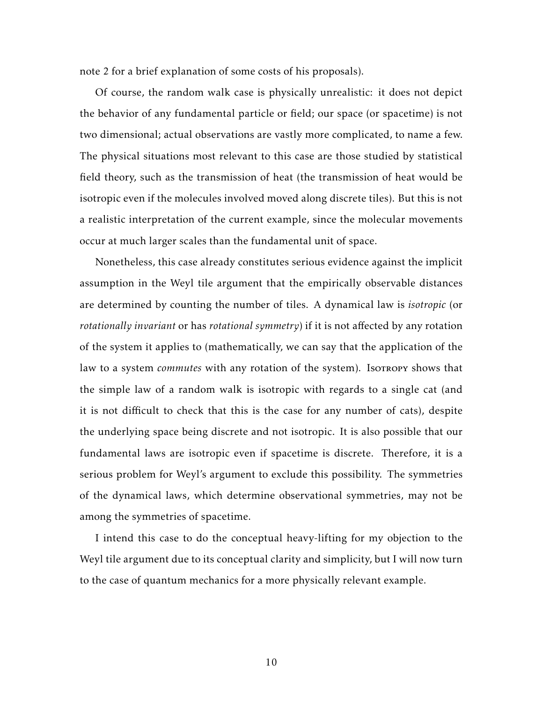note 2 for a brief explanation of some costs of his proposals).

Of course, the random walk case is physically unrealistic: it does not depict the behavior of any fundamental particle or field; our space (or spacetime) is not two dimensional; actual observations are vastly more complicated, to name a few. The physical situations most relevant to this case are those studied by statistical field theory, such as the transmission of heat (the transmission of heat would be isotropic even if the molecules involved moved along discrete tiles). But this is not a realistic interpretation of the current example, since the molecular movements occur at much larger scales than the fundamental unit of space.

Nonetheless, this case already constitutes serious evidence against the implicit assumption in the Weyl tile argument that the empirically observable distances are determined by counting the number of tiles. A dynamical law is *isotropic* (or *rotationally invariant* or has *rotational symmetry*) if it is not affected by any rotation of the system it applies to (mathematically, we can say that the application of the law to a system *commutes* with any rotation of the system). Isorropy shows that the simple law of a random walk is isotropic with regards to a single cat (and it is not difficult to check that this is the case for any number of cats), despite the underlying space being discrete and not isotropic. It is also possible that our fundamental laws are isotropic even if spacetime is discrete. Therefore, it is a serious problem for Weyl's argument to exclude this possibility. The symmetries of the dynamical laws, which determine observational symmetries, may not be among the symmetries of spacetime.

I intend this case to do the conceptual heavy-lifting for my objection to the Weyl tile argument due to its conceptual clarity and simplicity, but I will now turn to the case of quantum mechanics for a more physically relevant example.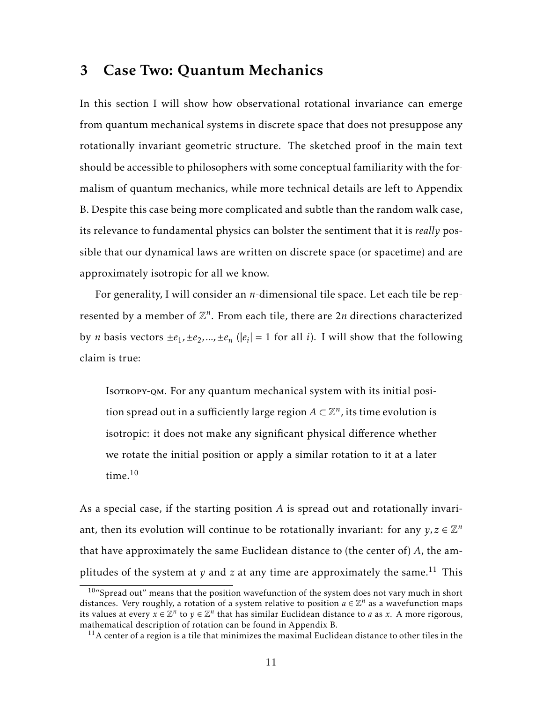## 3 Case Two: Quantum Mechanics

In this section I will show how observational rotational invariance can emerge from quantum mechanical systems in discrete space that does not presuppose any rotationally invariant geometric structure. The sketched proof in the main text should be accessible to philosophers with some conceptual familiarity with the formalism of quantum mechanics, while more technical details are left to Appendix B. Despite this case being more complicated and subtle than the random walk case, its relevance to fundamental physics can bolster the sentiment that it is *really* possible that our dynamical laws are written on discrete space (or spacetime) and are approximately isotropic for all we know.

For generality, I will consider an *n*-dimensional tile space. Let each tile be represented by a member of  $\mathbb{Z}^n$ . From each tile, there are  $2n$  directions characterized by *n* basis vectors  $\pm e_1, \pm e_2, ..., \pm e_n$  ( $|e_i| = 1$  for all *i*). I will show that the following claim is true:

Isotropy-QM. For any quantum mechanical system with its initial position spread out in a sufficiently large region  $A\subset \mathbb{Z}^n$ , its time evolution is isotropic: it does not make any significant physical difference whether we rotate the initial position or apply a similar rotation to it at a later time. $10$ 

As a special case, if the starting position *A* is spread out and rotationally invariant, then its evolution will continue to be rotationally invariant: for any  $y, z \in \mathbb{Z}^n$ that have approximately the same Euclidean distance to (the center of) *A*, the amplitudes of the system at  $y$  and  $z$  at any time are approximately the same.<sup>11</sup> This

 $10^{\circ}$ Spread out" means that the position wavefunction of the system does not vary much in short distances. Very roughly, a rotation of a system relative to position  $a \in \mathbb{Z}^n$  as a wavefunction maps its values at every  $x \in \mathbb{Z}^n$  to  $y \in \mathbb{Z}^n$  that has similar Euclidean distance to *a* as *x*. A more rigorous, mathematical description of rotation can be found in Appendix B.

 $11A$  center of a region is a tile that minimizes the maximal Euclidean distance to other tiles in the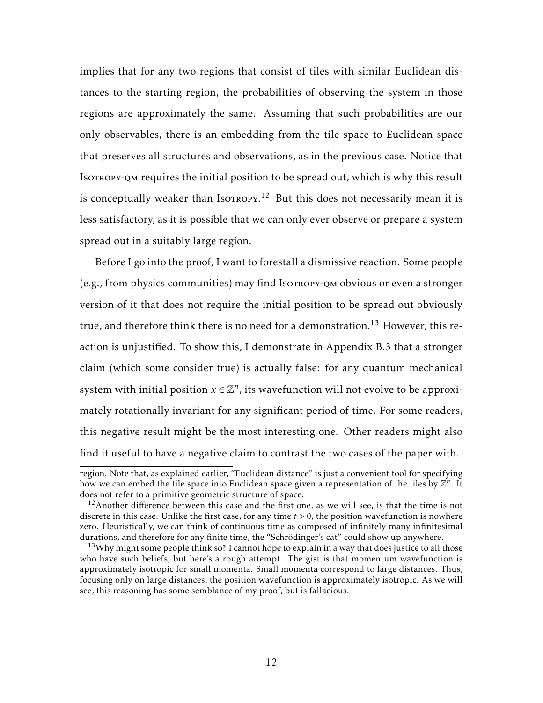implies that for any two regions that consist of tiles with similar Euclidean distances to the starting region, the probabilities of observing the system in those regions are approximately the same. Assuming that such probabilities are our only observables, there is an embedding from the tile space to Euclidean space that preserves all structures and observations, as in the previous case. Notice that Isotropy-QM requires the initial position to be spread out, which is why this result is conceptually weaker than Iso $T$ ROPY.<sup>12</sup> But this does not necessarily mean it is less satisfactory, as it is possible that we can only ever observe or prepare a system spread out in a suitably large region.

Before I go into the proof, I want to forestall a dismissive reaction. Some people (e.g., from physics communities) may find Isotropy-qm obvious or even a stronger version of it that does not require the initial position to be spread out obviously true, and therefore think there is no need for a demonstration.<sup>13</sup> However, this reaction is unjustified. To show this, I demonstrate in Appendix B.3 that a stronger claim (which some consider true) is actually false: for any quantum mechanical system with initial position  $x \in \mathbb{Z}^n$ , its wavefunction will not evolve to be approximately rotationally invariant for any significant period of time. For some readers, this negative result might be the most interesting one. Other readers might also find it useful to have a negative claim to contrast the two cases of the paper with.

region. Note that, as explained earlier, "Euclidean distance" is just a convenient tool for specifying how we can embed the tile space into Euclidean space given a representation of the tiles by  $\mathbb{Z}^n$ . It does not refer to a primitive geometric structure of space.

 $12A$ nother difference between this case and the first one, as we will see, is that the time is not discrete in this case. Unlike the first case, for any time *t >* 0, the position wavefunction is nowhere zero. Heuristically, we can think of continuous time as composed of infinitely many infinitesimal durations, and therefore for any finite time, the "Schrödinger's cat" could show up anywhere.

 $13$ Why might some people think so? I cannot hope to explain in a way that does justice to all those who have such beliefs, but here's a rough attempt. The gist is that momentum wavefunction is approximately isotropic for small momenta. Small momenta correspond to large distances. Thus, focusing only on large distances, the position wavefunction is approximately isotropic. As we will see, this reasoning has some semblance of my proof, but is fallacious.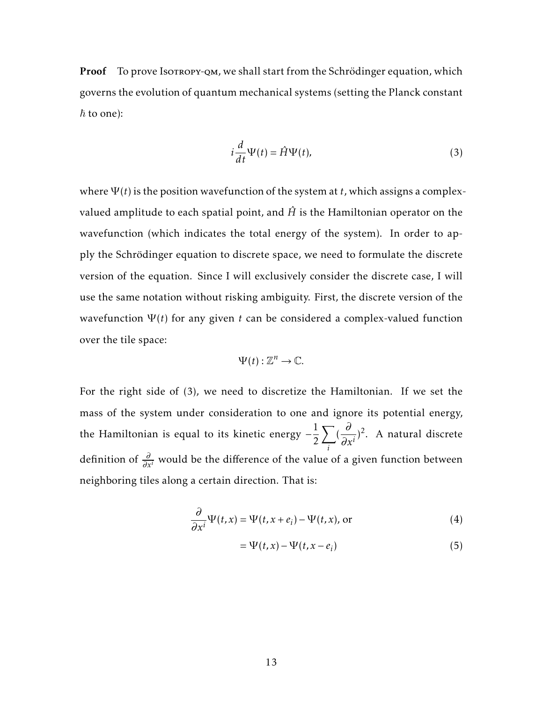Proof To prove Isotropy-QM, we shall start from the Schrödinger equation, which governs the evolution of quantum mechanical systems (setting the Planck constant  $\hbar$  to one):

$$
i\frac{d}{dt}\Psi(t) = \hat{H}\Psi(t),\tag{3}
$$

where  $\Psi(t)$  is the position wavefunction of the system at *t*, which assigns a complexvalued amplitude to each spatial point, and  $\hat{H}$  is the Hamiltonian operator on the wavefunction (which indicates the total energy of the system). In order to apply the Schrödinger equation to discrete space, we need to formulate the discrete version of the equation. Since I will exclusively consider the discrete case, I will use the same notation without risking ambiguity. First, the discrete version of the wavefunction  $\Psi(t)$  for any given *t* can be considered a complex-valued function over the tile space:

$$
\Psi(t): \mathbb{Z}^n \to \mathbb{C}.
$$

For the right side of (3), we need to discretize the Hamiltonian. If we set the mass of the system under consideration to one and ignore its potential energy, the Hamiltonian is equal to its kinetic energy  $-\frac{1}{2}$ 2  $\sum$ *i* ( *∂*  $\frac{\partial}{\partial x^i}$ <sup>2</sup>. A natural discrete definition of *<sup>∂</sup> ∂x<sup>i</sup>* would be the difference of the value of a given function between neighboring tiles along a certain direction. That is:

$$
\frac{\partial}{\partial x^{i}} \Psi(t, x) = \Psi(t, x + e_{i}) - \Psi(t, x), \text{ or}
$$
 (4)

$$
= \Psi(t, x) - \Psi(t, x - e_i)
$$
\n(5)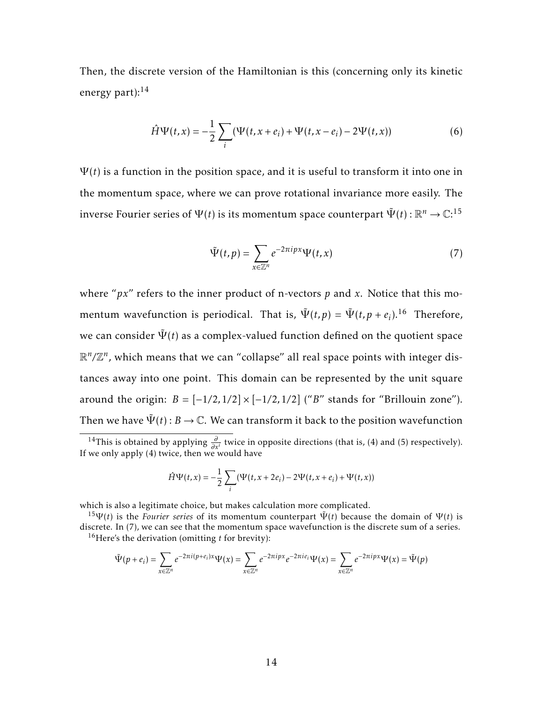Then, the discrete version of the Hamiltonian is this (concerning only its kinetic energy part): $14$ 

$$
\hat{H}\Psi(t,x) = -\frac{1}{2}\sum_{i} (\Psi(t,x+e_i) + \Psi(t,x-e_i) - 2\Psi(t,x))
$$
\n(6)

 $\Psi(t)$  is a function in the position space, and it is useful to transform it into one in the momentum space, where we can prove rotational invariance more easily. The inverse Fourier series of  $\Psi(t)$  is its momentum space counterpart  $\tilde{\Psi}(t)$  :  $\mathbb{R}^n \rightarrow \mathbb{C}$ : $^{15}$ 

$$
\tilde{\Psi}(t,p) = \sum_{x \in \mathbb{Z}^n} e^{-2\pi i px} \Psi(t,x) \tag{7}
$$

where "*px*" refers to the inner product of n-vectors *p* and *x*. Notice that this momentum wavefunction is periodical. That is,  $\tilde{\Psi}(t,p) = \tilde{\Psi}(t,p + e_i).$ <sup>16</sup> Therefore, we can consider  $\tilde{\Psi}(t)$  as a complex-valued function defined on the quotient space  $\mathbb{R}^n/\mathbb{Z}^n$ , which means that we can "collapse" all real space points with integer distances away into one point. This domain can be represented by the unit square around the origin:  $B = \frac{-1}{2}$ ,  $\frac{1}{2} \times \frac{-1}{2}$ ,  $\frac{1}{2}$  ("*B*" stands for "Brillouin zone"). Then we have  $\Psi(t)$ :  $B \to \mathbb{C}$ . We can transform it back to the position wavefunction

$$
\hat{H}\Psi(t,x) = -\frac{1}{2}\sum_{i}(\Psi(t,x+2e_i) - 2\Psi(t,x+e_i) + \Psi(t,x))
$$

which is also a legitimate choice, but makes calculation more complicated.

$$
\tilde{\Psi}(p+e_i)=\sum_{x\in\mathbb{Z}^n}e^{-2\pi i(p+e_i)x}\Psi(x)=\sum_{x\in\mathbb{Z}^n}e^{-2\pi ipx}e^{-2\pi ie_i}\Psi(x)=\sum_{x\in\mathbb{Z}^n}e^{-2\pi ipx}\Psi(x)=\tilde{\Psi}(p)
$$

<sup>&</sup>lt;sup>14</sup>This is obtained by applying  $\frac{\partial}{\partial x^i}$  twice in opposite directions (that is, (4) and (5) respectively). If we only apply  $(4)$  twice, then we would have

<sup>&</sup>lt;sup>15</sup>Ψ(*t*) is the *Fourier series* of its momentum counterpart  $\tilde{\Psi}(t)$  because the domain of  $\Psi(t)$  is discrete. In (7), we can see that the momentum space wavefunction is the discrete sum of a series. <sup>16</sup>Here's the derivation (omitting *t* for brevity):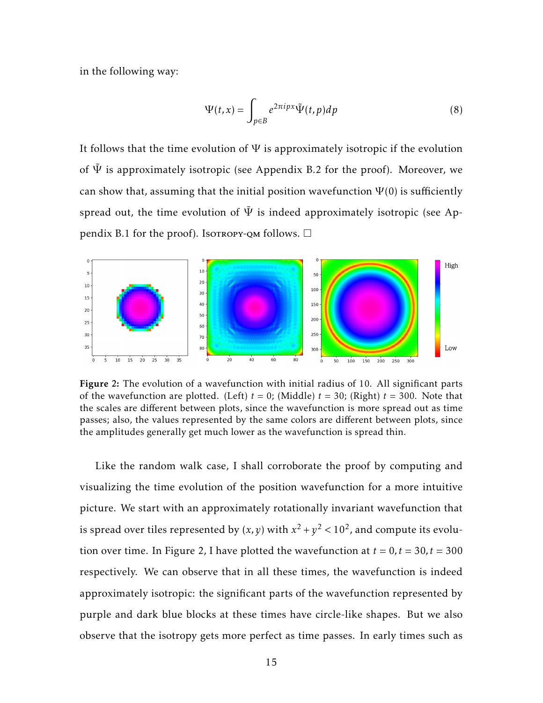in the following way:

$$
\Psi(t,x) = \int_{p \in B} e^{2\pi i p x} \tilde{\Psi}(t,p) dp \tag{8}
$$

It follows that the time evolution of  $\Psi$  is approximately isotropic if the evolution of  $\tilde{\Psi}$  is approximately isotropic (see Appendix B.2 for the proof). Moreover, we can show that, assuming that the initial position wavefunction  $\Psi(0)$  is sufficiently spread out, the time evolution of  $\tilde{\Psi}$  is indeed approximately isotropic (see Appendix B.1 for the proof). Isotropy-QM follows.  $\Box$ 



Figure 2: The evolution of a wavefunction with initial radius of 10. All significant parts of the wavefunction are plotted. (Left)  $t = 0$ ; (Middle)  $t = 30$ ; (Right)  $t = 300$ . Note that the scales are different between plots, since the wavefunction is more spread out as time passes; also, the values represented by the same colors are different between plots, since the amplitudes generally get much lower as the wavefunction is spread thin.

Like the random walk case, I shall corroborate the proof by computing and visualizing the time evolution of the position wavefunction for a more intuitive picture. We start with an approximately rotationally invariant wavefunction that is spread over tiles represented by  $(x, y)$  with  $x^2 + y^2 < 10^2$ , and compute its evolution over time. In Figure 2, I have plotted the wavefunction at  $t = 0, t = 30, t = 300$ respectively. We can observe that in all these times, the wavefunction is indeed approximately isotropic: the significant parts of the wavefunction represented by purple and dark blue blocks at these times have circle-like shapes. But we also observe that the isotropy gets more perfect as time passes. In early times such as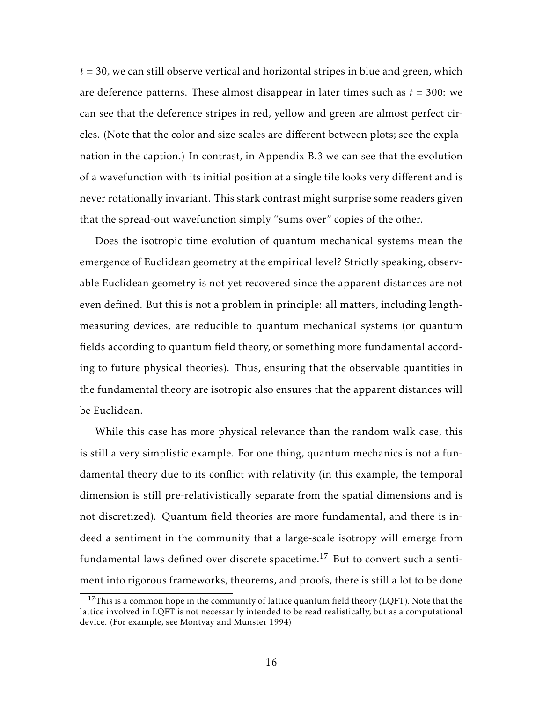*t* = 30, we can still observe vertical and horizontal stripes in blue and green, which are deference patterns. These almost disappear in later times such as  $t = 300$ : we can see that the deference stripes in red, yellow and green are almost perfect circles. (Note that the color and size scales are different between plots; see the explanation in the caption.) In contrast, in Appendix B.3 we can see that the evolution of a wavefunction with its initial position at a single tile looks very different and is never rotationally invariant. This stark contrast might surprise some readers given that the spread-out wavefunction simply "sums over" copies of the other.

Does the isotropic time evolution of quantum mechanical systems mean the emergence of Euclidean geometry at the empirical level? Strictly speaking, observable Euclidean geometry is not yet recovered since the apparent distances are not even defined. But this is not a problem in principle: all matters, including lengthmeasuring devices, are reducible to quantum mechanical systems (or quantum fields according to quantum field theory, or something more fundamental according to future physical theories). Thus, ensuring that the observable quantities in the fundamental theory are isotropic also ensures that the apparent distances will be Euclidean.

While this case has more physical relevance than the random walk case, this is still a very simplistic example. For one thing, quantum mechanics is not a fundamental theory due to its conflict with relativity (in this example, the temporal dimension is still pre-relativistically separate from the spatial dimensions and is not discretized). Quantum field theories are more fundamental, and there is indeed a sentiment in the community that a large-scale isotropy will emerge from fundamental laws defined over discrete spacetime.<sup>17</sup> But to convert such a sentiment into rigorous frameworks, theorems, and proofs, there is still a lot to be done

 $17$ This is a common hope in the community of lattice quantum field theory (LQFT). Note that the lattice involved in LQFT is not necessarily intended to be read realistically, but as a computational device. (For example, see Montvay and Munster 1994)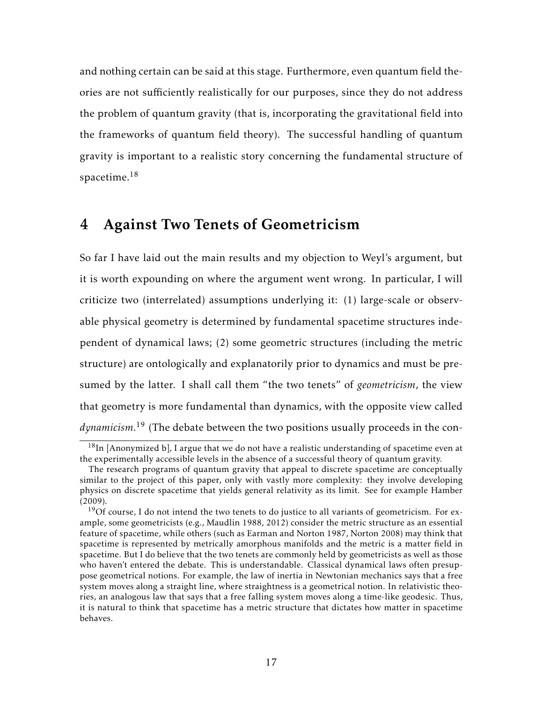and nothing certain can be said at this stage. Furthermore, even quantum field theories are not sufficiently realistically for our purposes, since they do not address the problem of quantum gravity (that is, incorporating the gravitational field into the frameworks of quantum field theory). The successful handling of quantum gravity is important to a realistic story concerning the fundamental structure of spacetime. $18$ 

#### 4 Against Two Tenets of Geometricism

So far I have laid out the main results and my objection to Weyl's argument, but it is worth expounding on where the argument went wrong. In particular, I will criticize two (interrelated) assumptions underlying it: (1) large-scale or observable physical geometry is determined by fundamental spacetime structures independent of dynamical laws; (2) some geometric structures (including the metric structure) are ontologically and explanatorily prior to dynamics and must be presumed by the latter. I shall call them "the two tenets" of *geometricism*, the view that geometry is more fundamental than dynamics, with the opposite view called *dynamicism*. <sup>19</sup> (The debate between the two positions usually proceeds in the con-

 $18$ In [Anonymized b], I argue that we do not have a realistic understanding of spacetime even at the experimentally accessible levels in the absence of a successful theory of quantum gravity.

The research programs of quantum gravity that appeal to discrete spacetime are conceptually similar to the project of this paper, only with vastly more complexity: they involve developing physics on discrete spacetime that yields general relativity as its limit. See for example Hamber (2009).

 $19$ Of course, I do not intend the two tenets to do justice to all variants of geometricism. For example, some geometricists (e.g., Maudlin 1988, 2012) consider the metric structure as an essential feature of spacetime, while others (such as Earman and Norton 1987, Norton 2008) may think that spacetime is represented by metrically amorphous manifolds and the metric is a matter field in spacetime. But I do believe that the two tenets are commonly held by geometricists as well as those who haven't entered the debate. This is understandable. Classical dynamical laws often presuppose geometrical notions. For example, the law of inertia in Newtonian mechanics says that a free system moves along a straight line, where straightness is a geometrical notion. In relativistic theories, an analogous law that says that a free falling system moves along a time-like geodesic. Thus, it is natural to think that spacetime has a metric structure that dictates how matter in spacetime behaves.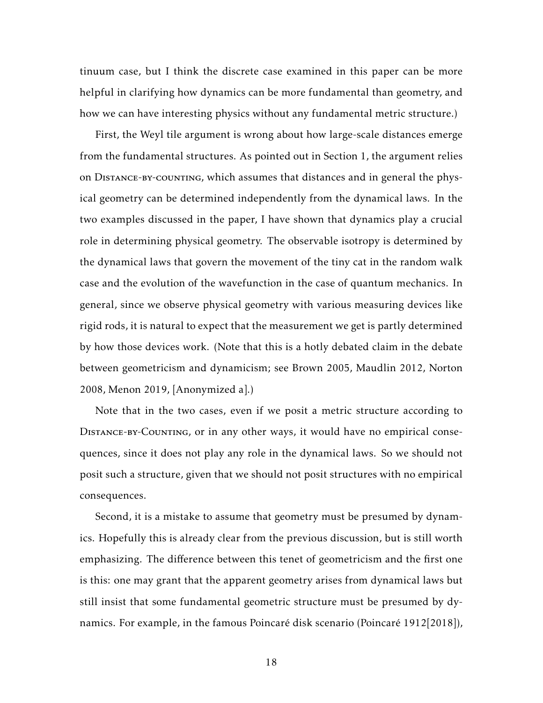tinuum case, but I think the discrete case examined in this paper can be more helpful in clarifying how dynamics can be more fundamental than geometry, and how we can have interesting physics without any fundamental metric structure.)

First, the Weyl tile argument is wrong about how large-scale distances emerge from the fundamental structures. As pointed out in Section 1, the argument relies on Distance-by-counting, which assumes that distances and in general the physical geometry can be determined independently from the dynamical laws. In the two examples discussed in the paper, I have shown that dynamics play a crucial role in determining physical geometry. The observable isotropy is determined by the dynamical laws that govern the movement of the tiny cat in the random walk case and the evolution of the wavefunction in the case of quantum mechanics. In general, since we observe physical geometry with various measuring devices like rigid rods, it is natural to expect that the measurement we get is partly determined by how those devices work. (Note that this is a hotly debated claim in the debate between geometricism and dynamicism; see Brown 2005, Maudlin 2012, Norton 2008, Menon 2019, [Anonymized a].)

Note that in the two cases, even if we posit a metric structure according to Distance-by-Counting, or in any other ways, it would have no empirical consequences, since it does not play any role in the dynamical laws. So we should not posit such a structure, given that we should not posit structures with no empirical consequences.

Second, it is a mistake to assume that geometry must be presumed by dynamics. Hopefully this is already clear from the previous discussion, but is still worth emphasizing. The difference between this tenet of geometricism and the first one is this: one may grant that the apparent geometry arises from dynamical laws but still insist that some fundamental geometric structure must be presumed by dynamics. For example, in the famous Poincaré disk scenario (Poincaré 1912[2018]),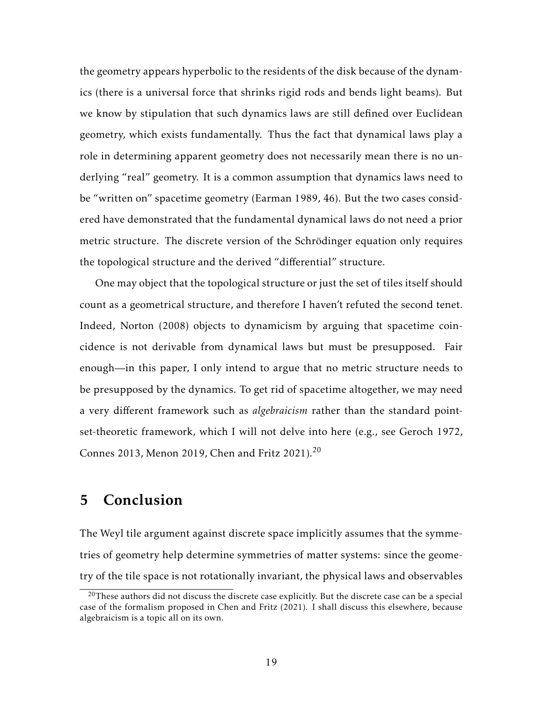the geometry appears hyperbolic to the residents of the disk because of the dynamics (there is a universal force that shrinks rigid rods and bends light beams). But we know by stipulation that such dynamics laws are still defined over Euclidean geometry, which exists fundamentally. Thus the fact that dynamical laws play a role in determining apparent geometry does not necessarily mean there is no underlying "real" geometry. It is a common assumption that dynamics laws need to be "written on" spacetime geometry (Earman 1989, 46). But the two cases considered have demonstrated that the fundamental dynamical laws do not need a prior metric structure. The discrete version of the Schrödinger equation only requires the topological structure and the derived "differential" structure.

One may object that the topological structure or just the set of tiles itself should count as a geometrical structure, and therefore I haven't refuted the second tenet. Indeed, Norton (2008) objects to dynamicism by arguing that spacetime coincidence is not derivable from dynamical laws but must be presupposed. Fair enough—in this paper, I only intend to argue that no metric structure needs to be presupposed by the dynamics. To get rid of spacetime altogether, we may need a very different framework such as *algebraicism* rather than the standard pointset-theoretic framework, which I will not delve into here (e.g., see Geroch 1972, Connes 2013, Menon 2019, Chen and Fritz 2021).<sup>20</sup>

# 5 Conclusion

The Weyl tile argument against discrete space implicitly assumes that the symmetries of geometry help determine symmetries of matter systems: since the geometry of the tile space is not rotationally invariant, the physical laws and observables

 $20$ These authors did not discuss the discrete case explicitly. But the discrete case can be a special case of the formalism proposed in Chen and Fritz (2021). I shall discuss this elsewhere, because algebraicism is a topic all on its own.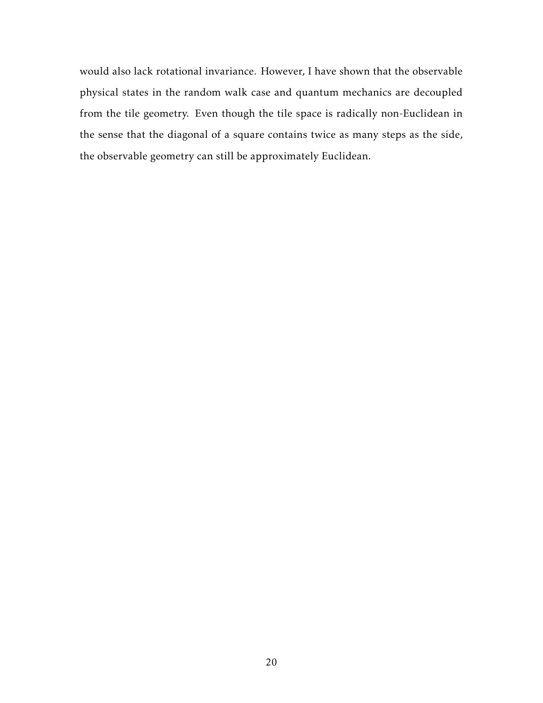would also lack rotational invariance. However, I have shown that the observable physical states in the random walk case and quantum mechanics are decoupled from the tile geometry. Even though the tile space is radically non-Euclidean in the sense that the diagonal of a square contains twice as many steps as the side, the observable geometry can still be approximately Euclidean.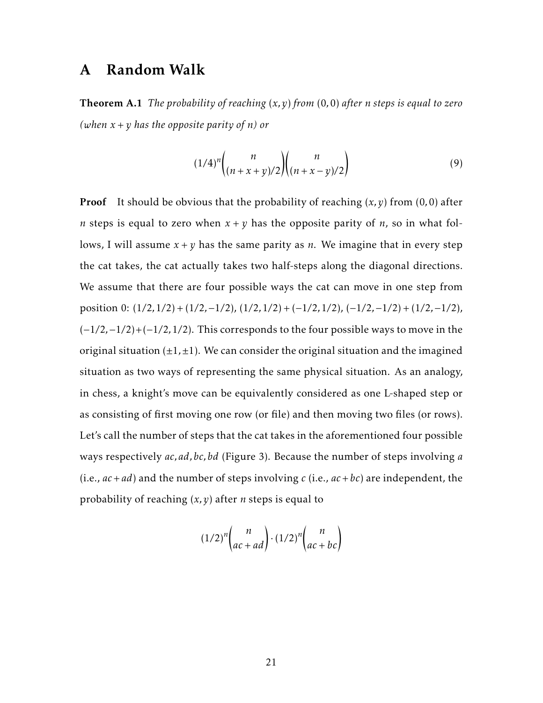## A Random Walk

Theorem A.1 *The probability of reaching* (*x,y*) *from* (0*,*0) *after n steps is equal to zero* (when  $x + y$  has the opposite parity of *n*) or

$$
(1/4)^n \binom{n}{(n+x+y)/2} \binom{n}{(n+x-y)/2} \tag{9}
$$

**Proof** It should be obvious that the probability of reaching  $(x, y)$  from  $(0, 0)$  after *n* steps is equal to zero when  $x + y$  has the opposite parity of *n*, so in what follows, I will assume  $x + y$  has the same parity as *n*. We imagine that in every step the cat takes, the cat actually takes two half-steps along the diagonal directions. We assume that there are four possible ways the cat can move in one step from position 0: (1*/*2*,*1*/*2) + (1*/*2*,*−1*/*2), (1*/*2*,*1*/*2) + (−1*/*2*,*1*/*2), (−1*/*2*,*−1*/*2) + (1*/*2*,*−1*/*2), (−1*/*2*,*−1*/*2)+(−1*/*2*,*1*/*2). This corresponds to the four possible ways to move in the original situation  $(\pm 1, \pm 1)$ . We can consider the original situation and the imagined situation as two ways of representing the same physical situation. As an analogy, in chess, a knight's move can be equivalently considered as one L-shaped step or as consisting of first moving one row (or file) and then moving two files (or rows). Let's call the number of steps that the cat takes in the aforementioned four possible ways respectively *ac,ad,bc,bd* (Figure 3). Because the number of steps involving *a* (i.e., *ac*+*ad*) and the number of steps involving *c* (i.e., *ac*+*bc*) are independent, the probability of reaching (*x,y*) after *n* steps is equal to

$$
(1/2)^n \binom{n}{ac+ad} \cdot (1/2)^n \binom{n}{ac+bc}
$$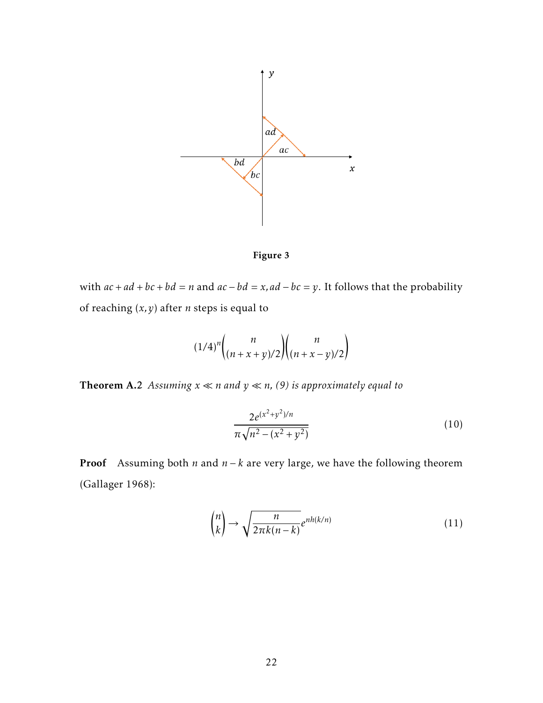



with  $ac + ad + bc + bd = n$  and  $ac - bd = x$ ,  $ad - bc = y$ . It follows that the probability of reaching (*x,y*) after *n* steps is equal to

$$
(1/4)^n \binom{n}{(n+x+y)/2} \binom{n}{(n+x-y)/2}
$$

**Theorem A.2** Assuming  $x \ll n$  and  $y \ll n$ , (9) is approximately equal to

$$
\frac{2e^{(x^2+y^2)/n}}{\pi\sqrt{n^2-(x^2+y^2)}}
$$
\n(10)

Proof Assuming both *n* and *n* − *k* are very large, we have the following theorem (Gallager 1968):

$$
\binom{n}{k} \to \sqrt{\frac{n}{2\pi k(n-k)}} e^{nh(k/n)} \tag{11}
$$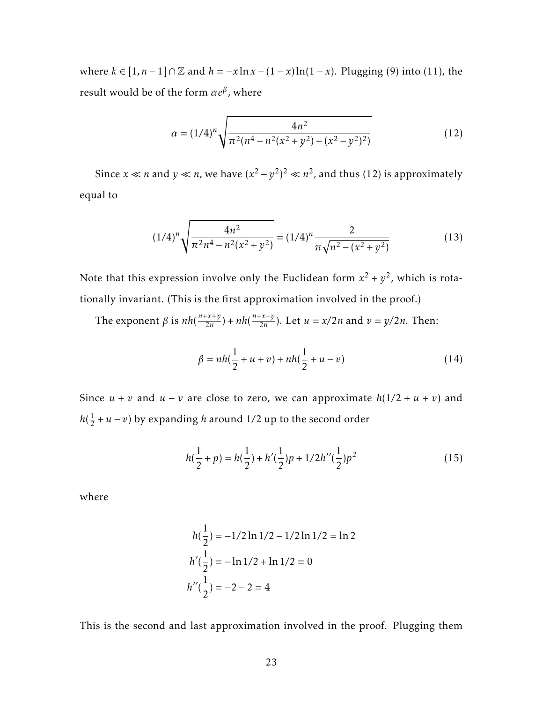where *k* ∈ [1, *n* − 1] ∩  $\mathbb Z$  and *h* = −*x* ln *x* − (1 − *x*) ln(1 − *x*). Plugging (9) into (11), the result would be of the form *αe<sup>β</sup>* , where

$$
\alpha = (1/4)^n \sqrt{\frac{4n^2}{\pi^2 (n^4 - n^2 (x^2 + y^2) + (x^2 - y^2)^2)}}
$$
(12)

Since *x*  $\ll$  *n* and *y*  $\ll$  *n*, we have  $(x^2 - y^2)^2 \ll n^2$ , and thus (12) is approximately equal to

$$
(1/4)^n \sqrt{\frac{4n^2}{\pi^2 n^4 - n^2 (x^2 + y^2)}} = (1/4)^n \frac{2}{\pi \sqrt{n^2 - (x^2 + y^2)}}
$$
(13)

Note that this expression involve only the Euclidean form  $x^2 + y^2$ , which is rotationally invariant. (This is the first approximation involved in the proof.)

The exponent  $\beta$  is  $nh(\frac{n+x+y}{2n})$  $\frac{(-x+y)}{2n}$  +  $nh\left(\frac{n+x-y}{2n}\right)$  $\frac{2x-y}{2n}$ ). Let  $u = x/2n$  and  $v = y/2n$ . Then:

$$
\beta = nh(\frac{1}{2} + u + v) + nh(\frac{1}{2} + u - v)
$$
\n(14)

Since  $u + v$  and  $u - v$  are close to zero, we can approximate  $h(1/2 + u + v)$  and  $h(\frac{1}{2})$  $\frac{1}{2} + u - v$ ) by expanding *h* around 1/2 up to the second order

$$
h(\frac{1}{2} + p) = h(\frac{1}{2}) + h'(\frac{1}{2})p + 1/2h''(\frac{1}{2})p^2
$$
 (15)

where

$$
h(\frac{1}{2}) = -\frac{1}{2}\ln\frac{1}{2} - \frac{1}{2}\ln\frac{1}{2} = \ln 2
$$
  

$$
h'(\frac{1}{2}) = -\ln\frac{1}{2} + \ln\frac{1}{2} = 0
$$
  

$$
h''(\frac{1}{2}) = -2 - 2 = 4
$$

This is the second and last approximation involved in the proof. Plugging them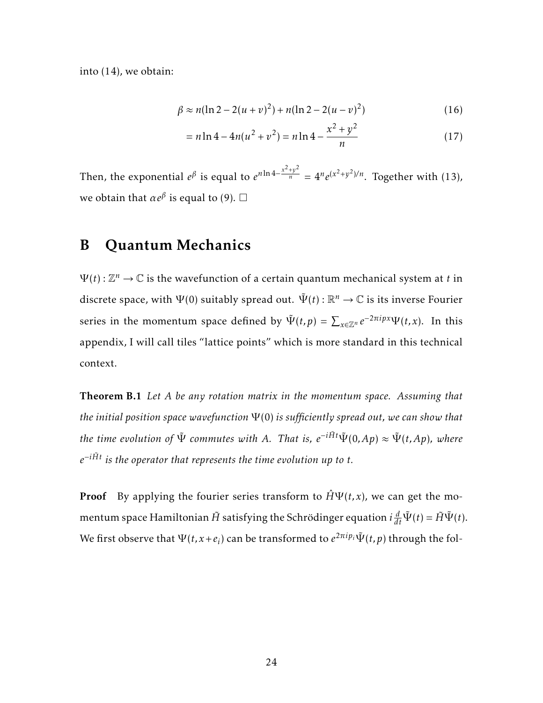into (14), we obtain:

$$
\beta \approx n(\ln 2 - 2(u+v)^2) + n(\ln 2 - 2(u-v)^2)
$$
\n(16)

$$
= n \ln 4 - 4n(u^2 + v^2) = n \ln 4 - \frac{x^2 + y^2}{n}
$$
 (17)

Then, the exponential  $e^{\beta}$  is equal to  $e^{n \ln 4 - \frac{x^2 + y^2}{n}} = 4^n e^{(x^2 + y^2)/n}$ . Together with (13), we obtain that  $\alpha e^{\beta}$  is equal to (9).  $\Box$ 

## B Quantum Mechanics

 $\Psi(t): \mathbb{Z}^n \to \mathbb{C}$  is the wavefunction of a certain quantum mechanical system at *t* in discrete space, with  $\Psi(0)$  suitably spread out.  $\tilde{\Psi}(t): \mathbb{R}^n \rightarrow \mathbb{C}$  is its inverse Fourier series in the momentum space defined by  $\tilde{\Psi}(t,p) = \sum_{x \in \mathbb{Z}^n} e^{-2\pi i px} \Psi(t,x)$ . In this appendix, I will call tiles "lattice points" which is more standard in this technical context.

Theorem B.1 *Let A be any rotation matrix in the momentum space. Assuming that the initial position space wavefunction* Ψ (0) *is sufficiently spread out, we can show that the time evolution of*  $\tilde{\Psi}$  *commutes with A. That is,*  $e^{-i\tilde{H}t}\tilde{\Psi}(0,Ap) \approx \tilde{\Psi}(t,Ap)$ *, where*  $e^{-i\tilde{H}t}$  is the operator that represents the time evolution up to *t*.

**Proof** By applying the fourier series transform to  $\hat{H}\Psi(t,x)$ , we can get the momentum space Hamiltonian  $\tilde{H}$  satisfying the Schrödinger equation  $i\frac{d}{dt}\tilde{\Psi}(t) = \tilde{H}\tilde{\Psi}(t).$ We first observe that  $\Psi(t,x+e_i)$  can be transformed to  $e^{2\pi i p_i}\tilde{\Psi}(t,p)$  through the fol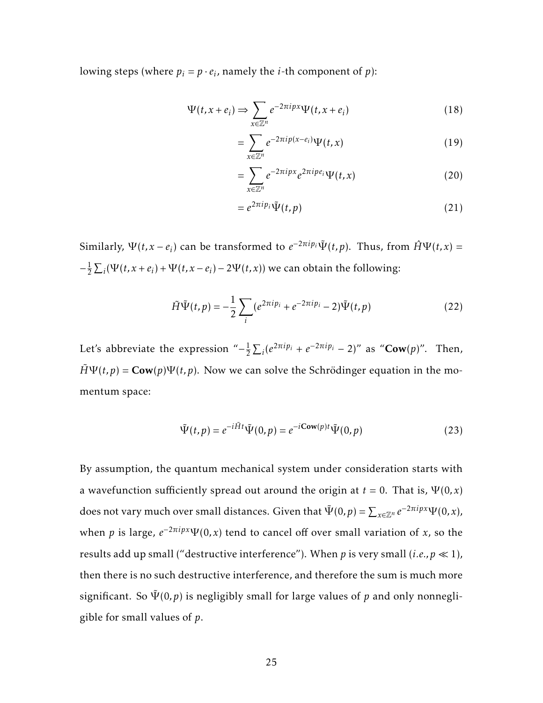lowing steps (where  $p_i = p \cdot e_i$ , namely the *i*-th component of *p*):

$$
\Psi(t, x + e_i) \Rightarrow \sum_{x \in \mathbb{Z}^n} e^{-2\pi i p x} \Psi(t, x + e_i)
$$
\n(18)

$$
=\sum_{x\in\mathbb{Z}^n}e^{-2\pi i p(x-e_i)}\Psi(t,x)\tag{19}
$$

$$
=\sum_{x\in\mathbb{Z}^n}e^{-2\pi ipx}e^{2\pi ipe_i}\Psi(t,x)\tag{20}
$$

$$
=e^{2\pi i p_i}\tilde{\Psi}(t,p) \tag{21}
$$

Similarly,  $\Psi(t, x - e_i)$  can be transformed to  $e^{-2\pi i p_i} \tilde{\Psi}(t, p)$ . Thus, from  $\hat{H}\Psi(t, x) =$  $-\frac{1}{2}$  $\frac{1}{2}\sum_i(\Psi(t, x + e_i) + \Psi(t, x - e_i) - 2\Psi(t, x))$  we can obtain the following:

$$
\tilde{H}\tilde{\Psi}(t,p) = -\frac{1}{2} \sum_{i} (e^{2\pi i p_i} + e^{-2\pi i p_i} - 2) \tilde{\Psi}(t,p)
$$
 (22)

Let's abbreviate the expression " $-\frac{1}{2}$  $\frac{1}{2}\sum_{i}(e^{2\pi i p_i} + e^{-2\pi i p_i} - 2)^n$  as "**Cow**(*p*)". Then,  $\tilde{H}\Psi(t,p) = \text{Cow}(p)\Psi(t,p)$ . Now we can solve the Schrödinger equation in the momentum space:

$$
\tilde{\Psi}(t,p) = e^{-i\tilde{H}t}\tilde{\Psi}(0,p) = e^{-i\mathbf{Cow}(p)t}\tilde{\Psi}(0,p)
$$
\n(23)

By assumption, the quantum mechanical system under consideration starts with a wavefunction sufficiently spread out around the origin at  $t = 0$ . That is,  $\Psi(0, x)$ does not vary much over small distances. Given that  $\tilde{\Psi}(0,p) = \sum_{x \in \mathbb{Z}^n} e^{-2\pi i px} \Psi(0,x),$ when *p* is large,  $e^{-2\pi i p x} \Psi(0, x)$  tend to cancel off over small variation of *x*, so the results add up small ("destructive interference"). When *p* is very small (*i.e.*,  $p \ll 1$ ), then there is no such destructive interference, and therefore the sum is much more significant. So  $\tilde{\Psi}(0,p)$  is negligibly small for large values of p and only nonnegligible for small values of *p*.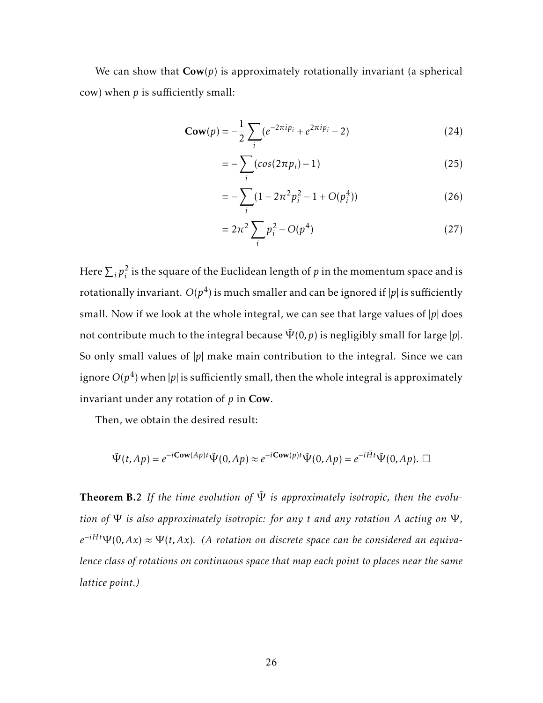We can show that  $\text{Cow}(p)$  is approximately rotationally invariant (a spherical cow) when *p* is sufficiently small:

$$
\mathbf{Cow}(p) = -\frac{1}{2} \sum_{i} (e^{-2\pi i p_i} + e^{2\pi i p_i} - 2)
$$
 (24)

$$
=-\sum_{i}(cos(2\pi p_i)-1)
$$
\n(25)

$$
= -\sum_{i} (1 - 2\pi^2 p_i^2 - 1 + O(p_i^4))
$$
 (26)

$$
=2\pi^2\sum_{i}p_i^2-O(p^4)
$$
 (27)

Here  $\sum_i p_i^2$  $\frac{2}{i}$  is the square of the Euclidean length of  $p$  in the momentum space and is rotationally invariant.  $O(p^4)$  is much smaller and can be ignored if  $|p|$  is sufficiently small. Now if we look at the whole integral, we can see that large values of |*p*| does not contribute much to the integral because  $\tilde{\Psi}(0,p)$  is negligibly small for large  $|p|$ . So only small values of |p| make main contribution to the integral. Since we can ignore  $O(p^4)$  when  $|p|$  is sufficiently small, then the whole integral is approximately invariant under any rotation of *p* in Cow.

Then, we obtain the desired result:

$$
\tilde{\Psi}(t, Ap) = e^{-i\mathbf{Cow}(Ap)t} \tilde{\Psi}(0, Ap) \approx e^{-i\mathbf{Cow}(p)t} \tilde{\Psi}(0, Ap) = e^{-i\tilde{H}t} \tilde{\Psi}(0, Ap). \ \Box
$$

**Theorem B.2** If the time evolution of  $\Psi$  is approximately isotropic, then the evolu*tion of* Ψ *is also approximately isotropic: for any t and any rotation A acting on* Ψ *,*  $e^{-iHt}\Psi(0, Ax) \approx \Psi(t, Ax)$ . (A rotation on discrete space can be considered an equiva*lence class of rotations on continuous space that map each point to places near the same lattice point.)*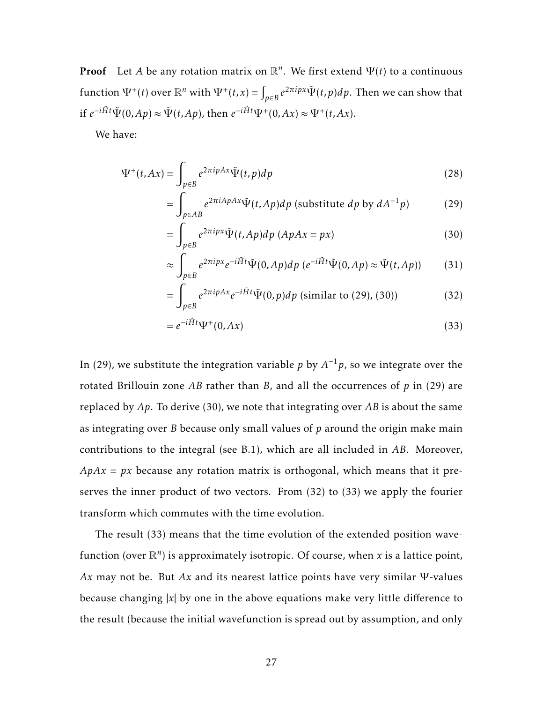**Proof** Let *A* be any rotation matrix on  $\mathbb{R}^n$ . We first extend  $\Psi(t)$  to a continuous  $\text{function } \Psi^+(t) \text{ over } \mathbb{R}^n \text{ with } \Psi^+(t,x) = \int_{p \in B} e^{2\pi i p x} \tilde{\Psi}(t,p) dp.$  Then we can show that if  $e^{-i\tilde{H}t}\tilde{\Psi}(0,Ap) \approx \tilde{\Psi}(t,Ap)$ , then  $e^{-i\hat{H}t}\Psi^+(0, Ax) \approx \Psi^+(t, Ax)$ .

We have:

$$
\Psi^+(t, Ax) = \int_{p \in B} e^{2\pi i pAx} \tilde{\Psi}(t, p) dp
$$
\n(28)

$$
= \int_{p \in AB} e^{2\pi i A p A x} \tilde{\Psi}(t, Ap) dp \text{ (substitute } dp \text{ by } dA^{-1}p) \tag{29}
$$

$$
= \int_{p \in B} e^{2\pi i p x} \tilde{\Psi}(t, Ap) dp \ (ApAx = px)
$$
\n(30)

$$
\approx \int_{p \in B} e^{2\pi i p x} e^{-i\tilde{H}t} \tilde{\Psi}(0, Ap) dp \ (e^{-i\tilde{H}t} \tilde{\Psi}(0, Ap) \approx \tilde{\Psi}(t, Ap)) \tag{31}
$$

$$
= \int_{p \in B} e^{2\pi i p A x} e^{-i\tilde{H}t} \tilde{\Psi}(0, p) dp \text{ (similar to (29), (30))}
$$
 (32)

$$
=e^{-i\hat{H}t}\Psi^{+}(0, Ax) \tag{33}
$$

In (29), we substitute the integration variable  $p$  by  $A^{-1}p$ , so we integrate over the rotated Brillouin zone *AB* rather than *B*, and all the occurrences of *p* in (29) are replaced by *Ap*. To derive (30), we note that integrating over *AB* is about the same as integrating over *B* because only small values of *p* around the origin make main contributions to the integral (see B.1), which are all included in *AB*. Moreover,  $A p A x = p x$  because any rotation matrix is orthogonal, which means that it preserves the inner product of two vectors. From (32) to (33) we apply the fourier transform which commutes with the time evolution.

The result (33) means that the time evolution of the extended position wavefunction (over  $\mathbb{R}^n$ ) is approximately isotropic. Of course, when *x* is a lattice point, *Ax* may not be. But *Ax* and its nearest lattice points have very similar Ψ -values because changing |*x*| by one in the above equations make very little difference to the result (because the initial wavefunction is spread out by assumption, and only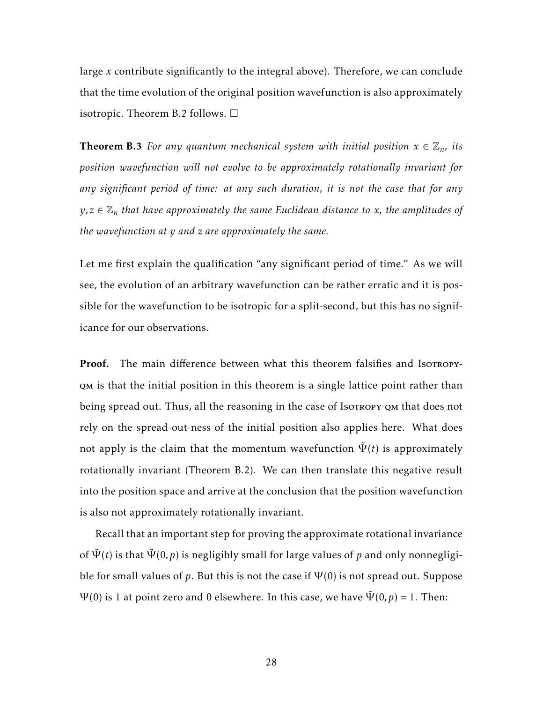large *x* contribute significantly to the integral above). Therefore, we can conclude that the time evolution of the original position wavefunction is also approximately isotropic. Theorem B.2 follows.  $\Box$ 

**Theorem B.3** For any quantum mechanical system with initial position  $x \in \mathbb{Z}_n$ , its *position wavefunction will not evolve to be approximately rotationally invariant for any significant period of time: at any such duration, it is not the case that for any*  $y, z \in \mathbb{Z}_n$  *that have approximately the same Euclidean distance to x, the amplitudes of the wavefunction at y and z are approximately the same.*

Let me first explain the qualification "any significant period of time." As we will see, the evolution of an arbitrary wavefunction can be rather erratic and it is possible for the wavefunction to be isotropic for a split-second, but this has no significance for our observations.

Proof. The main difference between what this theorem falsifies and Isorropyqm is that the initial position in this theorem is a single lattice point rather than being spread out. Thus, all the reasoning in the case of Isorropy-QM that does not rely on the spread-out-ness of the initial position also applies here. What does not apply is the claim that the momentum wavefunction  $\tilde{\Psi}(t)$  is approximately rotationally invariant (Theorem B.2). We can then translate this negative result into the position space and arrive at the conclusion that the position wavefunction is also not approximately rotationally invariant.

Recall that an important step for proving the approximate rotational invariance of  $\tilde{\Psi}(t)$  is that  $\tilde{\Psi}(0, p)$  is negligibly small for large values of p and only nonnegligible for small values of  $p$ . But this is not the case if  $\Psi(0)$  is not spread out. Suppose  $\Psi(0)$  is 1 at point zero and 0 elsewhere. In this case, we have  $\Psi(0,p) = 1$ . Then: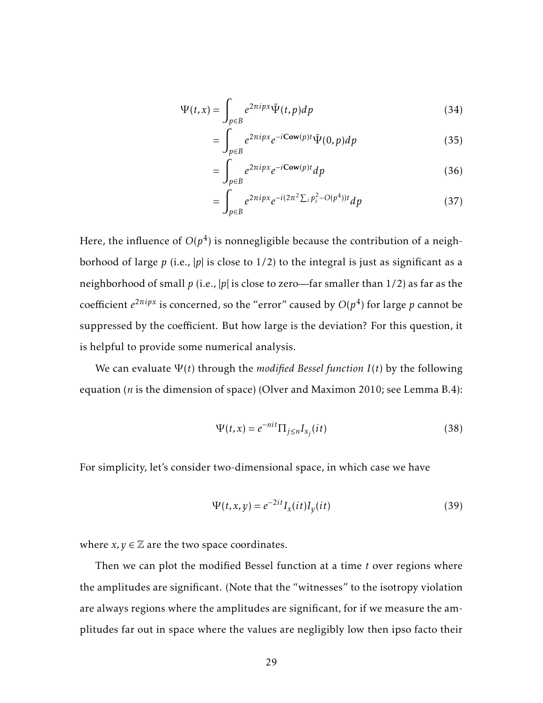$$
\Psi(t,x) = \int_{p \in B} e^{2\pi i p x} \tilde{\Psi}(t,p) dp
$$
\n(34)

$$
= \int_{p \in B} e^{2\pi i p x} e^{-i \text{Cow}(p)t} \tilde{\Psi}(0, p) dp \qquad (35)
$$

$$
= \int_{p \in B} e^{2\pi i p x} e^{-i \text{Cow}(p)t} dp
$$
 (36)

$$
= \int_{p \in B} e^{2\pi i p x} e^{-i(2\pi^2 \sum_i p_i^2 - O(p^4))t} dp
$$
 (37)

Here, the influence of  $O(p^4)$  is nonnegligible because the contribution of a neighborhood of large  $p$  (i.e.,  $|p|$  is close to  $1/2$ ) to the integral is just as significant as a neighborhood of small *p* (i.e., |*p*| is close to zero—far smaller than 1/2) as far as the coefficient  $e^{2\pi i p x}$  is concerned, so the "error" caused by  $O(p^4)$  for large  $p$  cannot be suppressed by the coefficient. But how large is the deviation? For this question, it is helpful to provide some numerical analysis.

We can evaluate  $\Psi(t)$  through the *modified Bessel function*  $I(t)$  by the following equation (*n* is the dimension of space) (Olver and Maximon 2010; see Lemma B.4):

$$
\Psi(t,x) = e^{-nit} \Pi_{j \le n} I_{x_j}(it)
$$
\n(38)

For simplicity, let's consider two-dimensional space, in which case we have

$$
\Psi(t, x, y) = e^{-2it} I_x(it) I_y(it)
$$
\n(39)

where  $x, y \in \mathbb{Z}$  are the two space coordinates.

Then we can plot the modified Bessel function at a time *t* over regions where the amplitudes are significant. (Note that the "witnesses" to the isotropy violation are always regions where the amplitudes are significant, for if we measure the amplitudes far out in space where the values are negligibly low then ipso facto their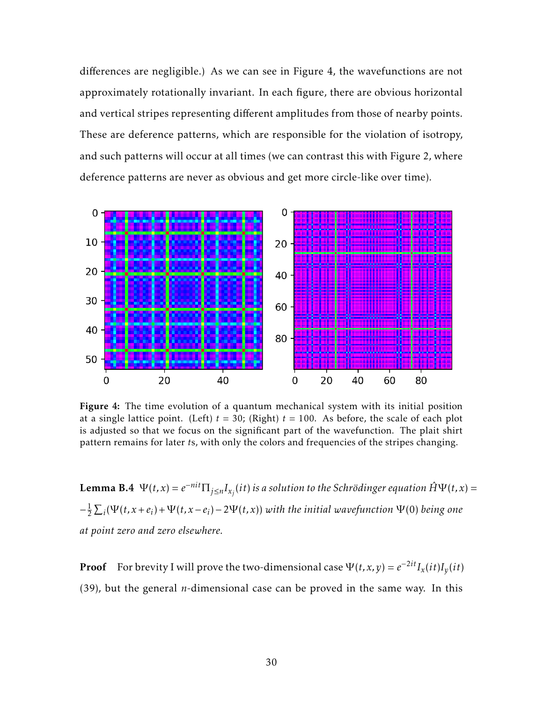differences are negligible.) As we can see in Figure 4, the wavefunctions are not approximately rotationally invariant. In each figure, there are obvious horizontal and vertical stripes representing different amplitudes from those of nearby points. These are deference patterns, which are responsible for the violation of isotropy, and such patterns will occur at all times (we can contrast this with Figure 2, where deference patterns are never as obvious and get more circle-like over time).



Figure 4: The time evolution of a quantum mechanical system with its initial position at a single lattice point. (Left)  $t = 30$ ; (Right)  $t = 100$ . As before, the scale of each plot is adjusted so that we focus on the significant part of the wavefunction. The plait shirt pattern remains for later *t*s, with only the colors and frequencies of the stripes changing.

**Lemma B.4**  $\Psi(t,x) = e^{-nit} \prod_{j \leq n} I_{x_j}(it)$  is a solution to the Schrödinger equation  $\hat{H}\Psi(t,x) =$  $-\frac{1}{2}$  $\frac{1}{2}$   $\sum_i$ (Ψ(*t, x* + *e<sub>i</sub>*) + Ψ(*t, x* − *e<sub>i</sub>*) − 2Ψ(*t, x*)) with the initial wavefunction Ψ(0) being one *at point zero and zero elsewhere.*

**Proof** For brevity I will prove the two-dimensional case  $\Psi(t, x, y) = e^{-2it} I_x(it) I_y(it)$ (39), but the general *n*-dimensional case can be proved in the same way. In this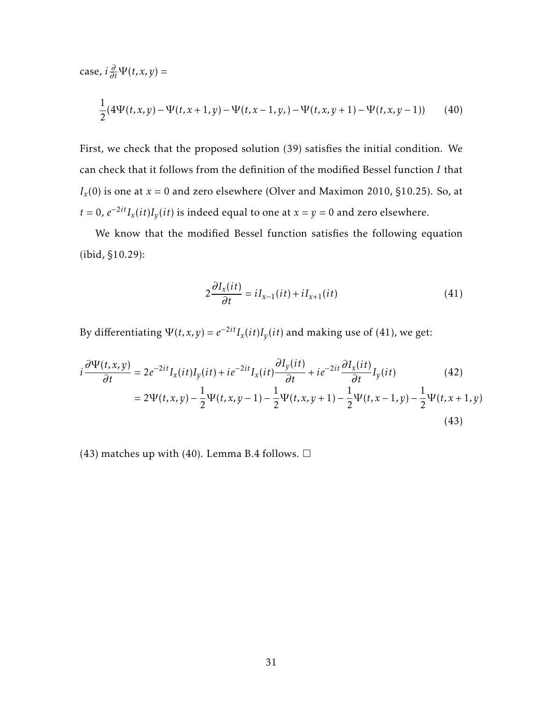case,  $i\frac{\partial}{\partial t}\Psi(t, x, y) =$ 

$$
\frac{1}{2}(4\Psi(t,x,y) - \Psi(t,x+1,y) - \Psi(t,x-1,y,)-\Psi(t,x,y+1) - \Psi(t,x,y-1))
$$
 (40)

First, we check that the proposed solution (39) satisfies the initial condition. We can check that it follows from the definition of the modified Bessel function *I* that  $I_x(0)$  is one at  $x = 0$  and zero elsewhere (Olver and Maximon 2010, §10.25). So, at *t* = 0,  $e^{-2it}I_x(it)I_y(it)$  is indeed equal to one at *x* = *y* = 0 and zero elsewhere.

We know that the modified Bessel function satisfies the following equation (ibid, §10.29):

$$
2\frac{\partial I_x(it)}{\partial t} = iI_{x-1}(it) + iI_{x+1}(it)
$$
\n(41)

By differentiating  $\Psi(t, x, y) = e^{-2it} I_x(it) I_y(it)$  and making use of (41), we get:

$$
i\frac{\partial\Psi(t,x,y)}{\partial t} = 2e^{-2it}I_x(it)I_y(it) + ie^{-2it}I_x(it)\frac{\partial I_y(it)}{\partial t} + ie^{-2it}\frac{\partial I_x(it)}{\partial t}I_y(it)
$$
(42)  

$$
= 2\Psi(t,x,y) - \frac{1}{2}\Psi(t,x,y-1) - \frac{1}{2}\Psi(t,x,y+1) - \frac{1}{2}\Psi(t,x-1,y) - \frac{1}{2}\Psi(t,x+1,y)
$$
(43)

(43) matches up with (40). Lemma B.4 follows.  $\Box$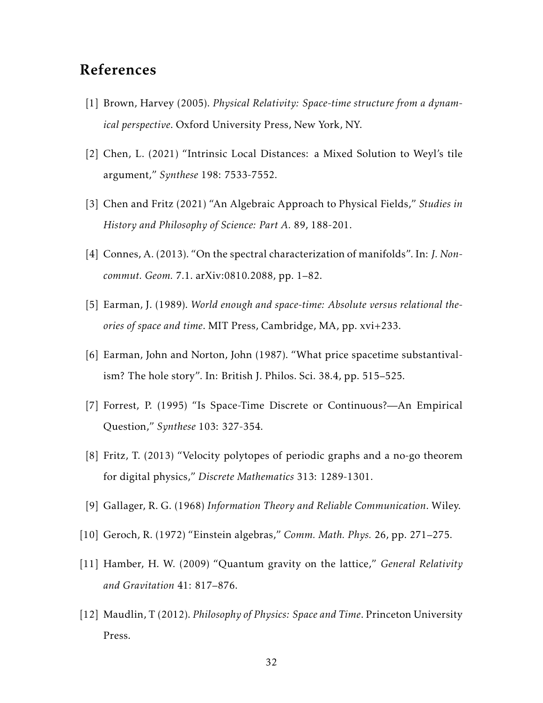# References

- [1] Brown, Harvey (2005). *Physical Relativity: Space-time structure from a dynamical perspective*. Oxford University Press, New York, NY.
- [2] Chen, L. (2021) "Intrinsic Local Distances: a Mixed Solution to Weyl's tile argument," *Synthese* 198: 7533-7552.
- [3] Chen and Fritz (2021) "An Algebraic Approach to Physical Fields," *Studies in History and Philosophy of Science: Part A.* 89, 188-201.
- [4] Connes, A. (2013). "On the spectral characterization of manifolds". In: *J. Noncommut. Geom.* 7.1. arXiv:0810.2088, pp. 1–82.
- [5] Earman, J. (1989). *World enough and space-time: Absolute versus relational theories of space and time*. MIT Press, Cambridge, MA, pp. xvi+233.
- [6] Earman, John and Norton, John (1987). "What price spacetime substantivalism? The hole story". In: British J. Philos. Sci. 38.4, pp. 515–525.
- [7] Forrest, P. (1995) "Is Space-Time Discrete or Continuous?—An Empirical Question," *Synthese* 103: 327-354.
- [8] Fritz, T. (2013) "Velocity polytopes of periodic graphs and a no-go theorem for digital physics," *Discrete Mathematics* 313: 1289-1301.
- [9] Gallager, R. G. (1968) *Information Theory and Reliable Communication*. Wiley.
- [10] Geroch, R. (1972) "Einstein algebras," *Comm. Math. Phys.* 26, pp. 271–275.
- [11] Hamber, H. W. (2009) "Quantum gravity on the lattice," *General Relativity and Gravitation* 41: 817–876.
- [12] Maudlin, T (2012). *Philosophy of Physics: Space and Time*. Princeton University Press.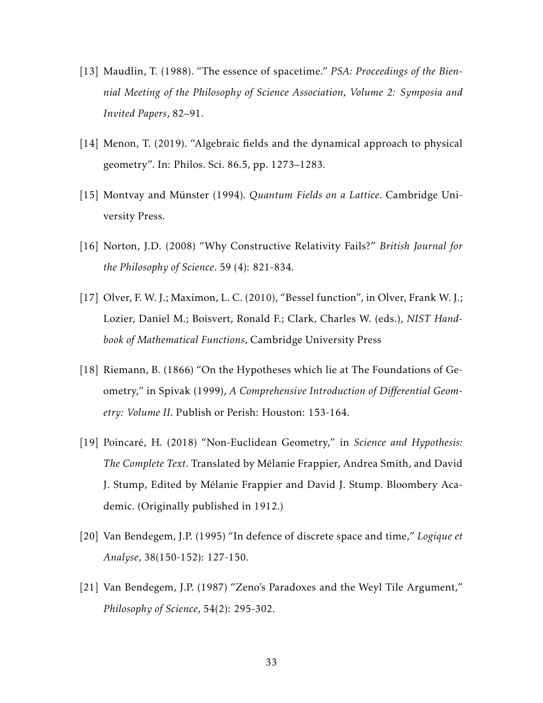- [13] Maudlin, T. (1988). "The essence of spacetime." *PSA: Proceedings of the Biennial Meeting of the Philosophy of Science Association, Volume 2: Symposia and Invited Papers*, 82–91.
- [14] Menon, T. (2019). "Algebraic fields and the dynamical approach to physical geometry". In: Philos. Sci. 86.5, pp. 1273–1283.
- [15] Montvay and Münster (1994). *Quantum Fields on a Lattice*. Cambridge University Press.
- [16] Norton, J.D. (2008) "Why Constructive Relativity Fails?" *British Journal for the Philosophy of Science*. 59 (4): 821-834.
- [17] Olver, F. W. J.; Maximon, L. C. (2010), "Bessel function", in Olver, Frank W. J.; Lozier, Daniel M.; Boisvert, Ronald F.; Clark, Charles W. (eds.), *NIST Handbook of Mathematical Functions,* Cambridge University Press
- [18] Riemann, B. (1866) "On the Hypotheses which lie at The Foundations of Geometry," in Spivak (1999), *A Comprehensive Introduction of Differential Geometry: Volume II*. Publish or Perish: Houston: 153-164.
- [19] Poincaré, H. (2018) "Non-Euclidean Geometry," in *Science and Hypothesis: The Complete Text*. Translated by Melanie Frappier, Andrea Smith, and David ´ J. Stump, Edited by Melanie Frappier and David J. Stump. Bloombery Aca- ´ demic. (Originally published in 1912.)
- [20] Van Bendegem, J.P. (1995) "In defence of discrete space and time," *Logique et Analyse*, 38(150-152): 127-150.
- [21] Van Bendegem, J.P. (1987) "Zeno's Paradoxes and the Weyl Tile Argument," *Philosophy of Science*, 54(2): 295-302.